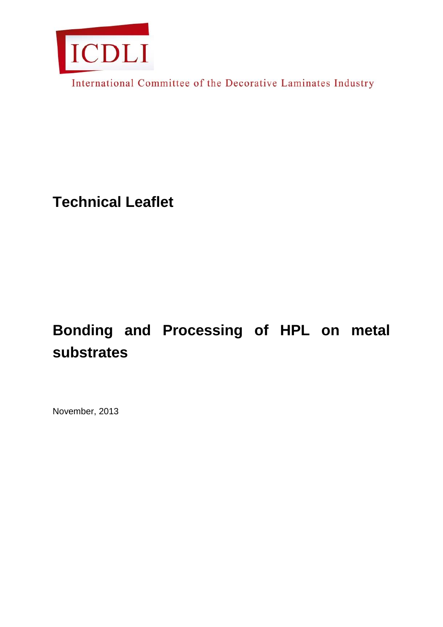

International Committee of the Decorative Laminates Industry

**Technical Leaflet**

# **Bonding and Processing of HPL on metal substrates**

November, 2013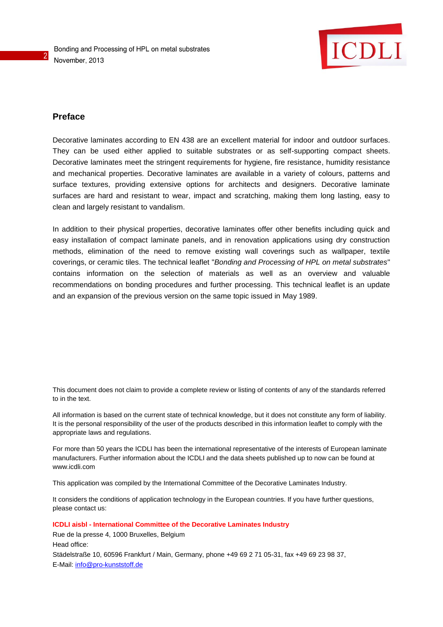

## **Preface**

2

Decorative laminates according to EN 438 are an excellent material for indoor and outdoor surfaces. They can be used either applied to suitable substrates or as self-supporting compact sheets. Decorative laminates meet the stringent requirements for hygiene, fire resistance, humidity resistance and mechanical properties. Decorative laminates are available in a variety of colours, patterns and surface textures, providing extensive options for architects and designers. Decorative laminate surfaces are hard and resistant to wear, impact and scratching, making them long lasting, easy to clean and largely resistant to vandalism.

In addition to their physical properties, decorative laminates offer other benefits including quick and easy installation of compact laminate panels, and in renovation applications using dry construction methods, elimination of the need to remove existing wall coverings such as wallpaper, textile coverings, or ceramic tiles. The technical leaflet "*Bonding and Processing of HPL on metal substrates*" contains information on the selection of materials as well as an overview and valuable recommendations on bonding procedures and further processing. This technical leaflet is an update and an expansion of the previous version on the same topic issued in May 1989.

This document does not claim to provide a complete review or listing of contents of any of the standards referred to in the text.

All information is based on the current state of technical knowledge, but it does not constitute any form of liability. It is the personal responsibility of the user of the products described in this information leaflet to comply with the appropriate laws and regulations.

For more than 50 years the ICDLI has been the international representative of the interests of European laminate manufacturers. Further information about the ICDLI and the data sheets published up to now can be found at www.icdli.com

This application was compiled by the International Committee of the Decorative Laminates Industry.

It considers the conditions of application technology in the European countries. If you have further questions, please contact us:

#### **ICDLI aisbl - International Committee of the Decorative Laminates Industry**

Rue de la presse 4, 1000 Bruxelles, Belgium Head office: Städelstraße 10, 60596 Frankfurt / Main, Germany, phone +49 69 2 71 05-31, fax +49 69 23 98 37, E-Mail: [info@pro-kunststoff.de](mailto:info@pro-kunststoff.de)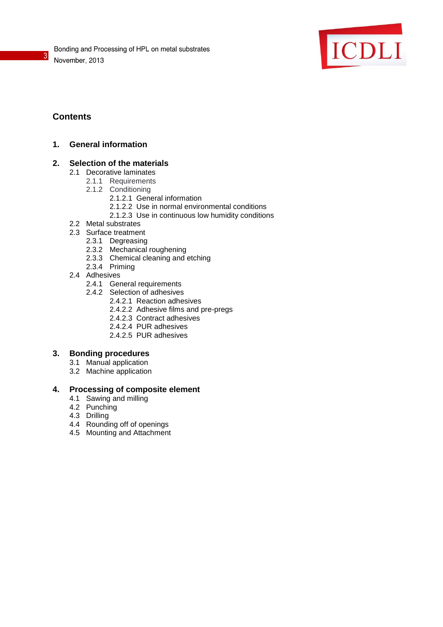

## **Contents**

3

## **1. General information**

## **2. Selection of the materials**

- 2.1 Decorative laminates
	- 2.1.1 Requirements
	- 2.1.2 Conditioning
		- 2.1.2.1 General information
		- 2.1.2.2 Use in normal environmental conditions
		- 2.1.2.3 Use in continuous low humidity conditions
- 2.2 Metal substrates
- 2.3 Surface treatment
	- 2.3.1 Degreasing
	- 2.3.2 Mechanical roughening
	- 2.3.3 Chemical cleaning and etching
	- 2.3.4 Priming
- 2.4 Adhesives
	- 2.4.1 General requirements
	- 2.4.2 Selection of adhesives
		- 2.4.2.1 Reaction adhesives
		- 2.4.2.2 Adhesive films and pre-pregs
		- 2.4.2.3 Contract adhesives
		- 2.4.2.4 PUR adhesives
		- 2.4.2.5 PUR adhesives

## **3. Bonding procedures**

- 3.1 Manual application
- 3.2 Machine application

## **4. Processing of composite element**

- 4.1 Sawing and milling
- 4.2 Punching
- 4.3 Drilling
- 4.4 Rounding off of openings
- 4.5 Mounting and Attachment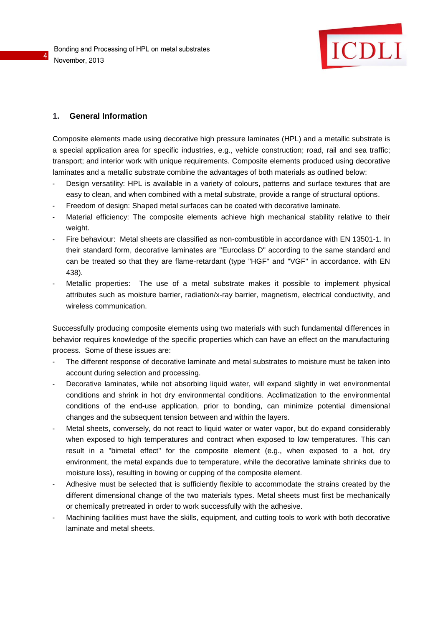

## **1. General Information**

4

Composite elements made using decorative high pressure laminates (HPL) and a metallic substrate is a special application area for specific industries, e.g., vehicle construction; road, rail and sea traffic; transport; and interior work with unique requirements. Composite elements produced using decorative laminates and a metallic substrate combine the advantages of both materials as outlined below:

- Design versatility: HPL is available in a variety of colours, patterns and surface textures that are easy to clean, and when combined with a metal substrate, provide a range of structural options.
- Freedom of design: Shaped metal surfaces can be coated with decorative laminate.
- Material efficiency: The composite elements achieve high mechanical stability relative to their weight.
- Fire behaviour: Metal sheets are classified as non-combustible in accordance with EN 13501-1. In their standard form, decorative laminates are "Euroclass D" according to the same standard and can be treated so that they are flame-retardant (type "HGF" and "VGF" in accordance. with EN 438).
- Metallic properties: The use of a metal substrate makes it possible to implement physical attributes such as moisture barrier, radiation/x-ray barrier, magnetism, electrical conductivity, and wireless communication.

Successfully producing composite elements using two materials with such fundamental differences in behavior requires knowledge of the specific properties which can have an effect on the manufacturing process. Some of these issues are:

- The different response of decorative laminate and metal substrates to moisture must be taken into account during selection and processing.
- Decorative laminates, while not absorbing liquid water, will expand slightly in wet environmental conditions and shrink in hot dry environmental conditions. Acclimatization to the environmental conditions of the end-use application, prior to bonding, can minimize potential dimensional changes and the subsequent tension between and within the layers.
- Metal sheets, conversely, do not react to liquid water or water vapor, but do expand considerably when exposed to high temperatures and contract when exposed to low temperatures. This can result in a "bimetal effect" for the composite element (e.g., when exposed to a hot, dry environment, the metal expands due to temperature, while the decorative laminate shrinks due to moisture loss), resulting in bowing or cupping of the composite element.
- Adhesive must be selected that is sufficiently flexible to accommodate the strains created by the different dimensional change of the two materials types. Metal sheets must first be mechanically or chemically pretreated in order to work successfully with the adhesive.
- Machining facilities must have the skills, equipment, and cutting tools to work with both decorative laminate and metal sheets.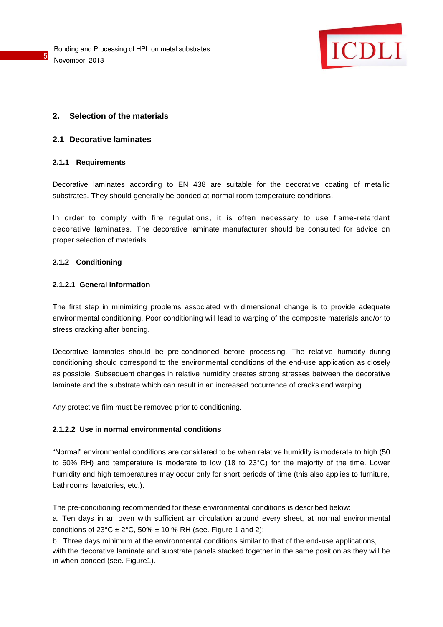

## **2. Selection of the materials**

## **2.1 Decorative laminates**

## **2.1.1 Requirements**

5

Decorative laminates according to EN 438 are suitable for the decorative coating of metallic substrates. They should generally be bonded at normal room temperature conditions.

In order to comply with fire regulations, it is often necessary to use flame-retardant decorative laminates. The decorative laminate manufacturer should be consulted for advice on proper selection of materials.

## **2.1.2 Conditioning**

## **2.1.2.1 General information**

The first step in minimizing problems associated with dimensional change is to provide adequate environmental conditioning. Poor conditioning will lead to warping of the composite materials and/or to stress cracking after bonding.

Decorative laminates should be pre-conditioned before processing. The relative humidity during conditioning should correspond to the environmental conditions of the end-use application as closely as possible. Subsequent changes in relative humidity creates strong stresses between the decorative laminate and the substrate which can result in an increased occurrence of cracks and warping.

Any protective film must be removed prior to conditioning.

## **2.1.2.2 Use in normal environmental conditions**

"Normal" environmental conditions are considered to be when relative humidity is moderate to high (50 to 60% RH) and temperature is moderate to low (18 to 23°C) for the majority of the time. Lower humidity and high temperatures may occur only for short periods of time (this also applies to furniture, bathrooms, lavatories, etc.).

The pre-conditioning recommended for these environmental conditions is described below: a. Ten days in an oven with sufficient air circulation around every sheet, at normal environmental conditions of  $23^{\circ}$ C ±  $2^{\circ}$ C,  $50\%$  ± 10 % RH (see. Figure 1 and 2);

b. Three days minimum at the environmental conditions similar to that of the end-use applications, with the decorative laminate and substrate panels stacked together in the same position as they will be in when bonded (see. Figure1).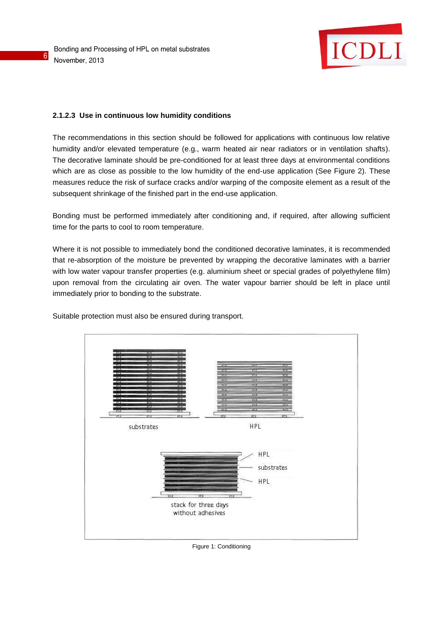6



## **2.1.2.3 Use in continuous low humidity conditions**

The recommendations in this section should be followed for applications with continuous low relative humidity and/or elevated temperature (e.g., warm heated air near radiators or in ventilation shafts). The decorative laminate should be pre-conditioned for at least three days at environmental conditions which are as close as possible to the low humidity of the end-use application (See Figure 2). These measures reduce the risk of surface cracks and/or warping of the composite element as a result of the subsequent shrinkage of the finished part in the end-use application.

Bonding must be performed immediately after conditioning and, if required, after allowing sufficient time for the parts to cool to room temperature.

Where it is not possible to immediately bond the conditioned decorative laminates, it is recommended that re-absorption of the moisture be prevented by wrapping the decorative laminates with a barrier with low water vapour transfer properties (e.g. aluminium sheet or special grades of polyethylene film) upon removal from the circulating air oven. The water vapour barrier should be left in place until immediately prior to bonding to the substrate.

Suitable protection must also be ensured during transport.



Figure 1: Conditioning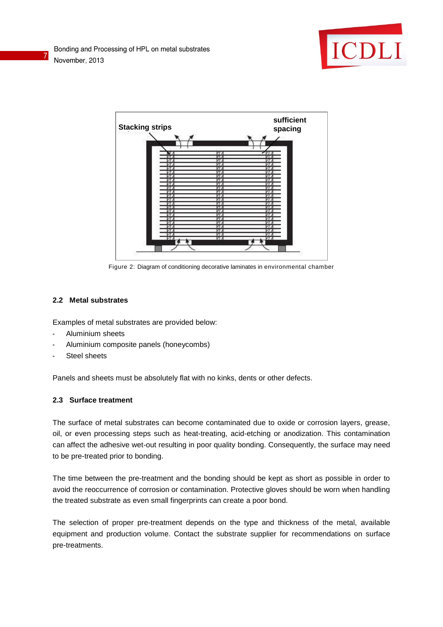

7



Figure 2: Diagram of conditioning decorative laminates in environmental chamber

## **2.2 Metal substrates**

Examples of metal substrates are provided below:

- Aluminium sheets
- Aluminium composite panels (honeycombs)
- Steel sheets

Panels and sheets must be absolutely flat with no kinks, dents or other defects.

## **2.3 Surface treatment**

The surface of metal substrates can become contaminated due to oxide or corrosion layers, grease, oil, or even processing steps such as heat-treating, acid-etching or anodization. This contamination can affect the adhesive wet-out resulting in poor quality bonding. Consequently, the surface may need to be pre-treated prior to bonding.

The time between the pre-treatment and the bonding should be kept as short as possible in order to avoid the reoccurrence of corrosion or contamination. Protective gloves should be worn when handling the treated substrate as even small fingerprints can create a poor bond.

The selection of proper pre-treatment depends on the type and thickness of the metal, available equipment and production volume. Contact the substrate supplier for recommendations on surface pre-treatments.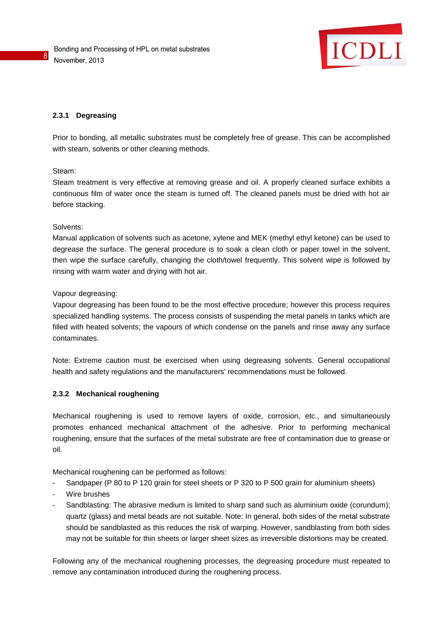

## **2.3.1 Degreasing**

Prior to bonding, all metallic substrates must be completely free of grease. This can be accomplished with steam, solvents or other cleaning methods.

## Steam:

8

Steam treatment is very effective at removing grease and oil. A properly cleaned surface exhibits a continuous film of water once the steam is turned off. The cleaned panels must be dried with hot air before stacking.

## Solvents:

Manual application of solvents such as acetone, xylene and MEK (methyl ethyl ketone) can be used to degrease the surface. The general procedure is to soak a clean cloth or paper towel in the solvent, then wipe the surface carefully, changing the cloth/towel frequently. This solvent wipe is followed by rinsing with warm water and drying with hot air.

## Vapour degreasing:

Vapour degreasing has been found to be the most effective procedure; however this process requires specialized handling systems. The process consists of suspending the metal panels in tanks which are filled with heated solvents; the vapours of which condense on the panels and rinse away any surface contaminates.

Note: Extreme caution must be exercised when using degreasing solvents. General occupational health and safety regulations and the manufacturers' recommendations must be followed.

## **2.3.2 Mechanical roughening**

Mechanical roughening is used to remove layers of oxide, corrosion, etc., and simultaneously promotes enhanced mechanical attachment of the adhesive. Prior to performing mechanical roughening, ensure that the surfaces of the metal substrate are free of contamination due to grease or oil.

Mechanical roughening can be performed as follows:

- Sandpaper (P 80 to P 120 grain for steel sheets or P 320 to P 500 grain for aluminium sheets)
- Wire brushes
- Sandblasting: The abrasive medium is limited to sharp sand such as aluminium oxide (corundum); quartz (glass) and metal beads are not suitable. Note: In general, both sides of the metal substrate should be sandblasted as this reduces the risk of warping. However, sandblasting from both sides may not be suitable for thin sheets or larger sheet sizes as irreversible distortions may be created.

Following any of the mechanical roughening processes, the degreasing procedure must repeated to remove any contamination introduced during the roughening process.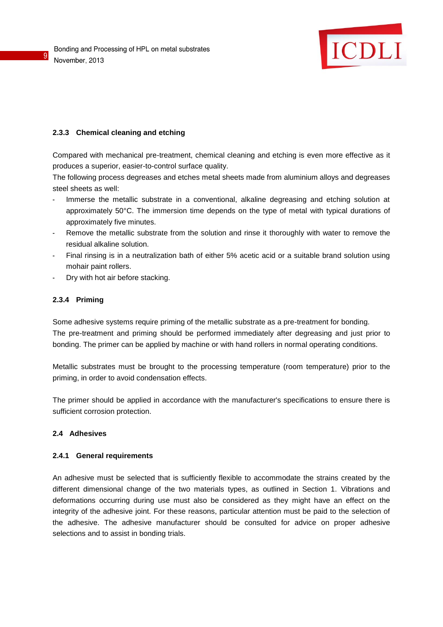

## **2.3.3 Chemical cleaning and etching**

Compared with mechanical pre-treatment, chemical cleaning and etching is even more effective as it produces a superior, easier-to-control surface quality.

The following process degreases and etches metal sheets made from aluminium alloys and degreases steel sheets as well:

- Immerse the metallic substrate in a conventional, alkaline degreasing and etching solution at approximately 50°C. The immersion time depends on the type of metal with typical durations of approximately five minutes.
- Remove the metallic substrate from the solution and rinse it thoroughly with water to remove the residual alkaline solution.
- Final rinsing is in a neutralization bath of either 5% acetic acid or a suitable brand solution using mohair paint rollers.
- Dry with hot air before stacking.

## **2.3.4 Priming**

9

Some adhesive systems require priming of the metallic substrate as a pre-treatment for bonding. The pre-treatment and priming should be performed immediately after degreasing and just prior to bonding. The primer can be applied by machine or with hand rollers in normal operating conditions.

Metallic substrates must be brought to the processing temperature (room temperature) prior to the priming, in order to avoid condensation effects.

The primer should be applied in accordance with the manufacturer's specifications to ensure there is sufficient corrosion protection.

## **2.4 Adhesives**

#### **2.4.1 General requirements**

An adhesive must be selected that is sufficiently flexible to accommodate the strains created by the different dimensional change of the two materials types, as outlined in Section 1. Vibrations and deformations occurring during use must also be considered as they might have an effect on the integrity of the adhesive joint. For these reasons, particular attention must be paid to the selection of the adhesive. The adhesive manufacturer should be consulted for advice on proper adhesive selections and to assist in bonding trials.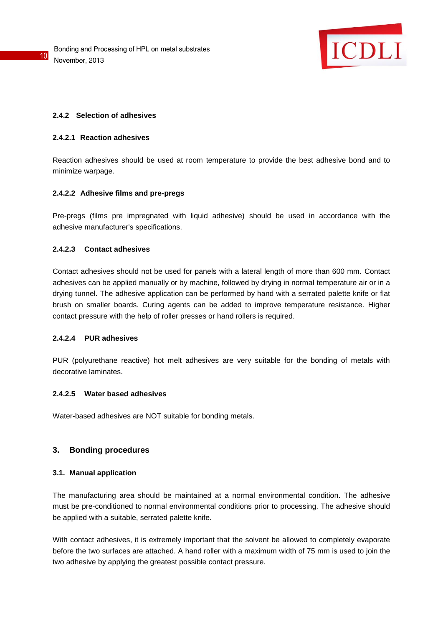

## **2.4.2 Selection of adhesives**

## **2.4.2.1 Reaction adhesives**

Reaction adhesives should be used at room temperature to provide the best adhesive bond and to minimize warpage.

## **2.4.2.2 Adhesive films and pre-pregs**

Pre-pregs (films pre impregnated with liquid adhesive) should be used in accordance with the adhesive manufacturer's specifications.

## **2.4.2.3 Contact adhesives**

Contact adhesives should not be used for panels with a lateral length of more than 600 mm. Contact adhesives can be applied manually or by machine, followed by drying in normal temperature air or in a drying tunnel. The adhesive application can be performed by hand with a serrated palette knife or flat brush on smaller boards. Curing agents can be added to improve temperature resistance. Higher contact pressure with the help of roller presses or hand rollers is required.

## **2.4.2.4 PUR adhesives**

PUR (polyurethane reactive) hot melt adhesives are very suitable for the bonding of metals with decorative laminates.

#### **2.4.2.5 Water based adhesives**

Water-based adhesives are NOT suitable for bonding metals.

## **3. Bonding procedures**

## **3.1. Manual application**

The manufacturing area should be maintained at a normal environmental condition. The adhesive must be pre-conditioned to normal environmental conditions prior to processing. The adhesive should be applied with a suitable, serrated palette knife.

With contact adhesives, it is extremely important that the solvent be allowed to completely evaporate before the two surfaces are attached. A hand roller with a maximum width of 75 mm is used to join the two adhesive by applying the greatest possible contact pressure.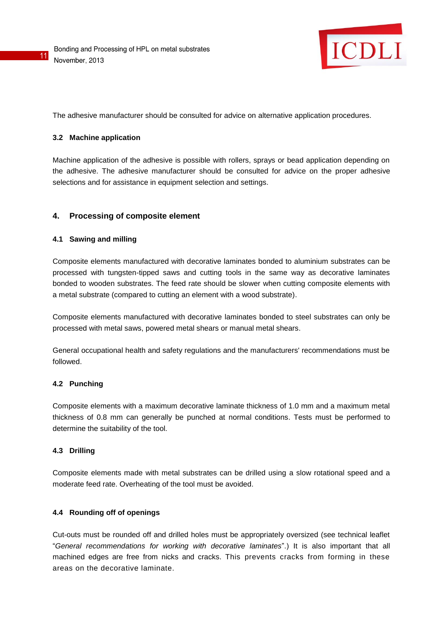

The adhesive manufacturer should be consulted for advice on alternative application procedures.

## **3.2 Machine application**

11

Machine application of the adhesive is possible with rollers, sprays or bead application depending on the adhesive. The adhesive manufacturer should be consulted for advice on the proper adhesive selections and for assistance in equipment selection and settings.

## **4. Processing of composite element**

## **4.1 Sawing and milling**

Composite elements manufactured with decorative laminates bonded to aluminium substrates can be processed with tungsten-tipped saws and cutting tools in the same way as decorative laminates bonded to wooden substrates. The feed rate should be slower when cutting composite elements with a metal substrate (compared to cutting an element with a wood substrate).

Composite elements manufactured with decorative laminates bonded to steel substrates can only be processed with metal saws, powered metal shears or manual metal shears.

General occupational health and safety regulations and the manufacturers' recommendations must be followed.

## **4.2 Punching**

Composite elements with a maximum decorative laminate thickness of 1.0 mm and a maximum metal thickness of 0.8 mm can generally be punched at normal conditions. Tests must be performed to determine the suitability of the tool.

## **4.3 Drilling**

Composite elements made with metal substrates can be drilled using a slow rotational speed and a moderate feed rate. Overheating of the tool must be avoided.

## **4.4 Rounding off of openings**

Cut-outs must be rounded off and drilled holes must be appropriately oversized (see technical leaflet "*General recommendations for working with decorative laminates*".) It is also important that all machined edges are free from nicks and cracks. This prevents cracks from forming in these areas on the decorative laminate.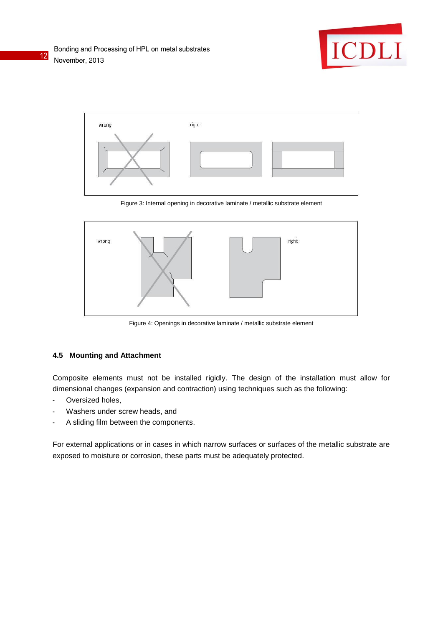



Figure 3: Internal opening in decorative laminate / metallic substrate element



Figure 4: Openings in decorative laminate / metallic substrate element

## **4.5 Mounting and Attachment**

Composite elements must not be installed rigidly. The design of the installation must allow for dimensional changes (expansion and contraction) using techniques such as the following:

- Oversized holes,
- Washers under screw heads, and
- A sliding film between the components.

For external applications or in cases in which narrow surfaces or surfaces of the metallic substrate are exposed to moisture or corrosion, these parts must be adequately protected.